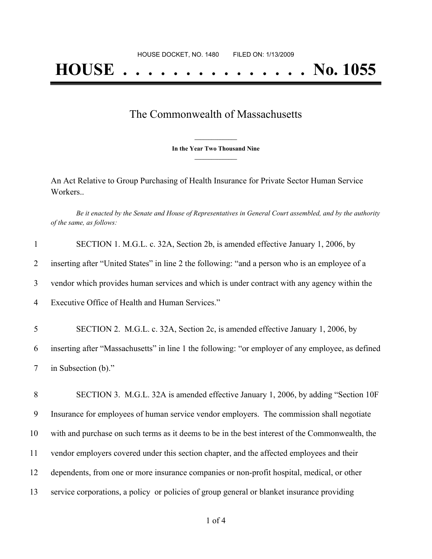## The Commonwealth of Massachusetts

**\_\_\_\_\_\_\_\_\_\_\_\_\_\_\_ In the Year Two Thousand Nine \_\_\_\_\_\_\_\_\_\_\_\_\_\_\_**

An Act Relative to Group Purchasing of Health Insurance for Private Sector Human Service Workers..

Be it enacted by the Senate and House of Representatives in General Court assembled, and by the authority *of the same, as follows:*

| $\mathbf{1}$   | SECTION 1. M.G.L. c. 32A, Section 2b, is amended effective January 1, 2006, by                    |
|----------------|---------------------------------------------------------------------------------------------------|
| $\overline{2}$ | inserting after "United States" in line 2 the following: "and a person who is an employee of a    |
| 3              | vendor which provides human services and which is under contract with any agency within the       |
| 4              | Executive Office of Health and Human Services."                                                   |
| 5              | SECTION 2. M.G.L. c. 32A, Section 2c, is amended effective January 1, 2006, by                    |
| 6              | inserting after "Massachusetts" in line 1 the following: "or employer of any employee, as defined |
| $\tau$         | in Subsection (b)."                                                                               |
| 8              | SECTION 3. M.G.L. 32A is amended effective January 1, 2006, by adding "Section 10F                |
| 9              | Insurance for employees of human service vendor employers. The commission shall negotiate         |
| 10             | with and purchase on such terms as it deems to be in the best interest of the Commonwealth, the   |
| 11             | vendor employers covered under this section chapter, and the affected employees and their         |
| 12             | dependents, from one or more insurance companies or non-profit hospital, medical, or other        |
| 13             | service corporations, a policy or policies of group general or blanket insurance providing        |
|                |                                                                                                   |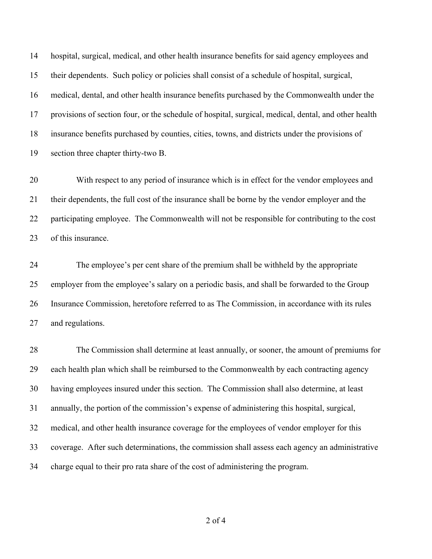hospital, surgical, medical, and other health insurance benefits for said agency employees and their dependents. Such policy or policies shall consist of a schedule of hospital, surgical, medical, dental, and other health insurance benefits purchased by the Commonwealth under the provisions of section four, or the schedule of hospital, surgical, medical, dental, and other health insurance benefits purchased by counties, cities, towns, and districts under the provisions of section three chapter thirty-two B.

 With respect to any period of insurance which is in effect for the vendor employees and their dependents, the full cost of the insurance shall be borne by the vendor employer and the participating employee. The Commonwealth will not be responsible for contributing to the cost of this insurance.

 The employee's per cent share of the premium shall be withheld by the appropriate employer from the employee's salary on a periodic basis, and shall be forwarded to the Group Insurance Commission, heretofore referred to as The Commission, in accordance with its rules and regulations.

 The Commission shall determine at least annually, or sooner, the amount of premiums for each health plan which shall be reimbursed to the Commonwealth by each contracting agency having employees insured under this section. The Commission shall also determine, at least annually, the portion of the commission's expense of administering this hospital, surgical, medical, and other health insurance coverage for the employees of vendor employer for this coverage. After such determinations, the commission shall assess each agency an administrative charge equal to their pro rata share of the cost of administering the program.

of 4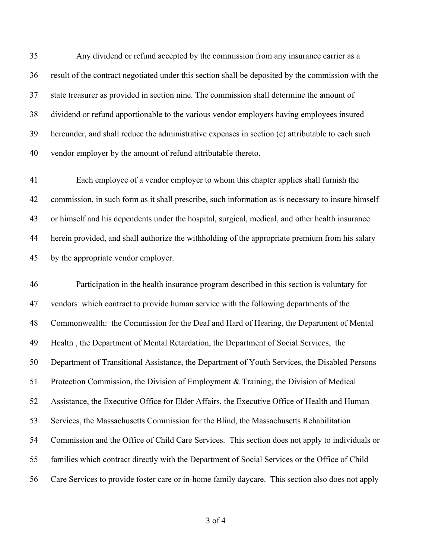Any dividend or refund accepted by the commission from any insurance carrier as a result of the contract negotiated under this section shall be deposited by the commission with the state treasurer as provided in section nine. The commission shall determine the amount of dividend or refund apportionable to the various vendor employers having employees insured hereunder, and shall reduce the administrative expenses in section (c) attributable to each such vendor employer by the amount of refund attributable thereto.

 Each employee of a vendor employer to whom this chapter applies shall furnish the commission, in such form as it shall prescribe, such information as is necessary to insure himself or himself and his dependents under the hospital, surgical, medical, and other health insurance herein provided, and shall authorize the withholding of the appropriate premium from his salary by the appropriate vendor employer.

 Participation in the health insurance program described in this section is voluntary for vendors which contract to provide human service with the following departments of the Commonwealth: the Commission for the Deaf and Hard of Hearing, the Department of Mental Health , the Department of Mental Retardation, the Department of Social Services, the Department of Transitional Assistance, the Department of Youth Services, the Disabled Persons Protection Commission, the Division of Employment & Training, the Division of Medical Assistance, the Executive Office for Elder Affairs, the Executive Office of Health and Human Services, the Massachusetts Commission for the Blind, the Massachusetts Rehabilitation Commission and the Office of Child Care Services. This section does not apply to individuals or families which contract directly with the Department of Social Services or the Office of Child Care Services to provide foster care or in-home family daycare. This section also does not apply

of 4